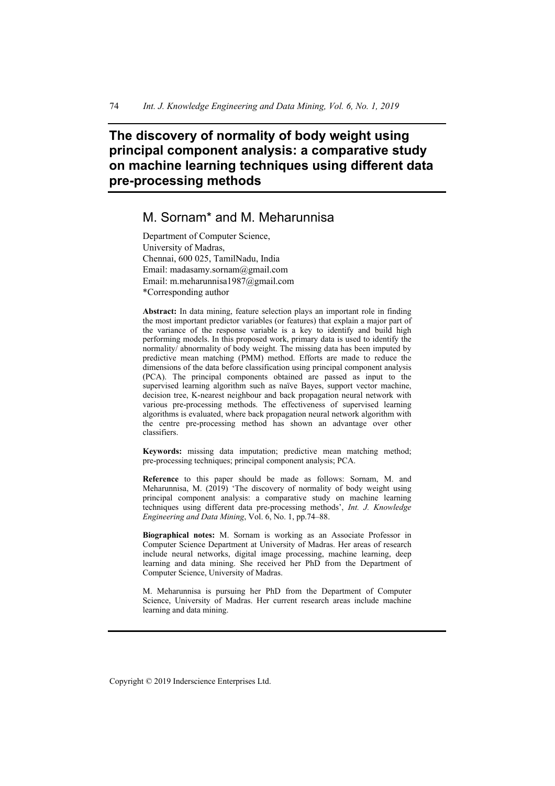# **The discovery of normality of body weight using principal component analysis: a comparative study on machine learning techniques using different data pre-processing methods**

# M. Sornam\* and M. Meharunnisa

Department of Computer Science, University of Madras, Chennai, 600 025, TamilNadu, India Email: madasamy.sornam@gmail.com Email: m.meharunnisa1987@gmail.com \*Corresponding author

**Abstract:** In data mining, feature selection plays an important role in finding the most important predictor variables (or features) that explain a major part of the variance of the response variable is a key to identify and build high performing models. In this proposed work, primary data is used to identify the normality/ abnormality of body weight. The missing data has been imputed by predictive mean matching (PMM) method. Efforts are made to reduce the dimensions of the data before classification using principal component analysis (PCA). The principal components obtained are passed as input to the supervised learning algorithm such as naïve Bayes, support vector machine, decision tree, K-nearest neighbour and back propagation neural network with various pre-processing methods. The effectiveness of supervised learning algorithms is evaluated, where back propagation neural network algorithm with the centre pre-processing method has shown an advantage over other classifiers.

**Keywords:** missing data imputation; predictive mean matching method; pre-processing techniques; principal component analysis; PCA.

**Reference** to this paper should be made as follows: Sornam, M. and Meharunnisa, M.  $(2019)$  'The discovery of normality of body weight using principal component analysis: a comparative study on machine learning techniques using different data pre-processing methods', *Int. J. Knowledge Engineering and Data Mining*, Vol. 6, No. 1, pp.74–88.

**Biographical notes:** M. Sornam is working as an Associate Professor in Computer Science Department at University of Madras. Her areas of research include neural networks, digital image processing, machine learning, deep learning and data mining. She received her PhD from the Department of Computer Science, University of Madras.

M. Meharunnisa is pursuing her PhD from the Department of Computer Science, University of Madras. Her current research areas include machine learning and data mining.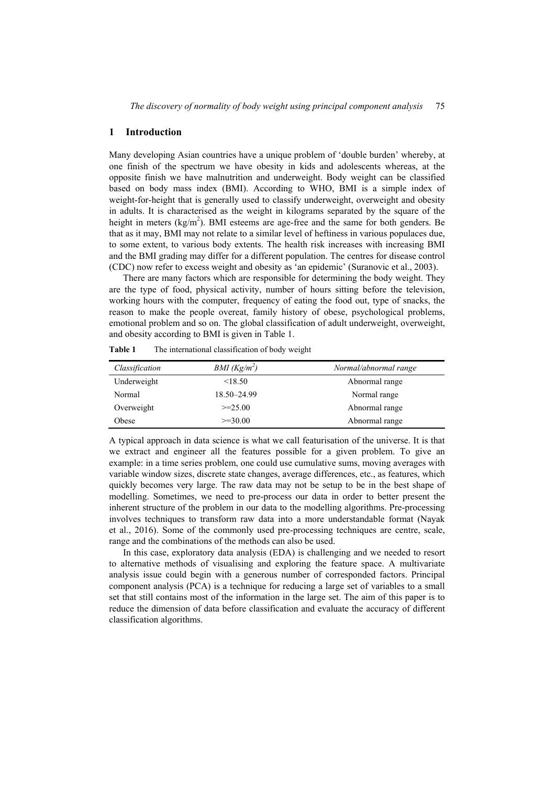#### **1 Introduction**

Many developing Asian countries have a unique problem of 'double burden' whereby, at one finish of the spectrum we have obesity in kids and adolescents whereas, at the opposite finish we have malnutrition and underweight. Body weight can be classified based on body mass index (BMI). According to WHO, BMI is a simple index of weight-for-height that is generally used to classify underweight, overweight and obesity in adults. It is characterised as the weight in kilograms separated by the square of the height in meters  $(kg/m<sup>2</sup>)$ . BMI esteems are age-free and the same for both genders. Be that as it may, BMI may not relate to a similar level of heftiness in various populaces due, to some extent, to various body extents. The health risk increases with increasing BMI and the BMI grading may differ for a different population. The centres for disease control (CDC) now refer to excess weight and obesity as 'an epidemic' (Suranovic et al., 2003).

There are many factors which are responsible for determining the body weight. They are the type of food, physical activity, number of hours sitting before the television, working hours with the computer, frequency of eating the food out, type of snacks, the reason to make the people overeat, family history of obese, psychological problems, emotional problem and so on. The global classification of adult underweight, overweight, and obesity according to BMI is given in Table 1.

| Classification | $BMI (Kg/m^2)$ | Normal/abnormal range |
|----------------|----------------|-----------------------|
| Underweight    | < 18.50        | Abnormal range        |
| Normal         | 18.50-24.99    | Normal range          |
| Overweight     | $>=25.00$      | Abnormal range        |
| Obese          | $>=30.00$      | Abnormal range        |

**Table 1** The international classification of body weight

A typical approach in data science is what we call featurisation of the universe. It is that we extract and engineer all the features possible for a given problem. To give an example: in a time series problem, one could use cumulative sums, moving averages with variable window sizes, discrete state changes, average differences, etc., as features, which quickly becomes very large. The raw data may not be setup to be in the best shape of modelling. Sometimes, we need to pre-process our data in order to better present the inherent structure of the problem in our data to the modelling algorithms. Pre-processing involves techniques to transform raw data into a more understandable format (Nayak et al., 2016). Some of the commonly used pre-processing techniques are centre, scale, range and the combinations of the methods can also be used.

In this case, exploratory data analysis (EDA) is challenging and we needed to resort to alternative methods of visualising and exploring the feature space. A multivariate analysis issue could begin with a generous number of corresponded factors. Principal component analysis (PCA) is a technique for reducing a large set of variables to a small set that still contains most of the information in the large set. The aim of this paper is to reduce the dimension of data before classification and evaluate the accuracy of different classification algorithms.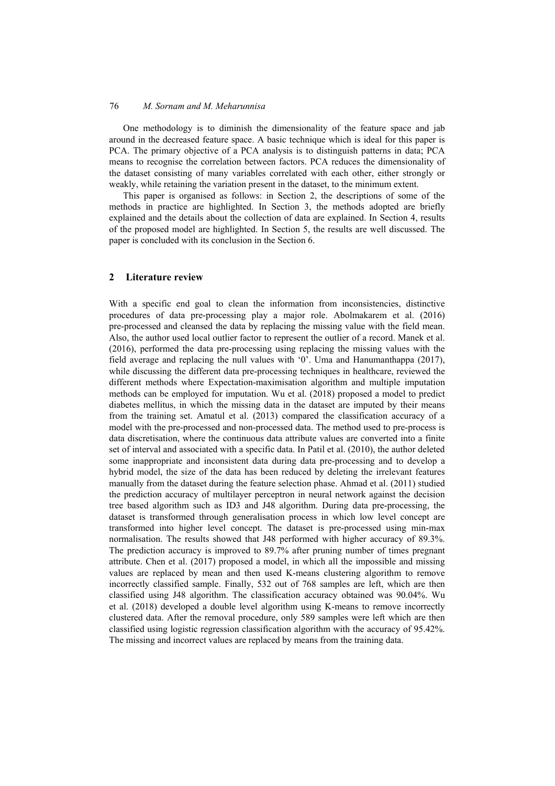One methodology is to diminish the dimensionality of the feature space and jab around in the decreased feature space. A basic technique which is ideal for this paper is PCA. The primary objective of a PCA analysis is to distinguish patterns in data; PCA means to recognise the correlation between factors. PCA reduces the dimensionality of the dataset consisting of many variables correlated with each other, either strongly or weakly, while retaining the variation present in the dataset, to the minimum extent.

This paper is organised as follows: in Section 2, the descriptions of some of the methods in practice are highlighted. In Section 3, the methods adopted are briefly explained and the details about the collection of data are explained. In Section 4, results of the proposed model are highlighted. In Section 5, the results are well discussed. The paper is concluded with its conclusion in the Section 6.

### **2 Literature review**

With a specific end goal to clean the information from inconsistencies, distinctive procedures of data pre-processing play a major role. Abolmakarem et al. (2016) pre-processed and cleansed the data by replacing the missing value with the field mean. Also, the author used local outlier factor to represent the outlier of a record. Manek et al. (2016), performed the data pre-processing using replacing the missing values with the field average and replacing the null values with '0'. Uma and Hanumanthappa (2017), while discussing the different data pre-processing techniques in healthcare, reviewed the different methods where Expectation-maximisation algorithm and multiple imputation methods can be employed for imputation. Wu et al. (2018) proposed a model to predict diabetes mellitus, in which the missing data in the dataset are imputed by their means from the training set. Amatul et al. (2013) compared the classification accuracy of a model with the pre-processed and non-processed data. The method used to pre-process is data discretisation, where the continuous data attribute values are converted into a finite set of interval and associated with a specific data. In Patil et al. (2010), the author deleted some inappropriate and inconsistent data during data pre-processing and to develop a hybrid model, the size of the data has been reduced by deleting the irrelevant features manually from the dataset during the feature selection phase. Ahmad et al. (2011) studied the prediction accuracy of multilayer perceptron in neural network against the decision tree based algorithm such as ID3 and J48 algorithm. During data pre-processing, the dataset is transformed through generalisation process in which low level concept are transformed into higher level concept. The dataset is pre-processed using min-max normalisation. The results showed that J48 performed with higher accuracy of 89.3%. The prediction accuracy is improved to 89.7% after pruning number of times pregnant attribute. Chen et al. (2017) proposed a model, in which all the impossible and missing values are replaced by mean and then used K-means clustering algorithm to remove incorrectly classified sample. Finally, 532 out of 768 samples are left, which are then classified using J48 algorithm. The classification accuracy obtained was 90.04%. Wu et al. (2018) developed a double level algorithm using K-means to remove incorrectly clustered data. After the removal procedure, only 589 samples were left which are then classified using logistic regression classification algorithm with the accuracy of 95.42%. The missing and incorrect values are replaced by means from the training data.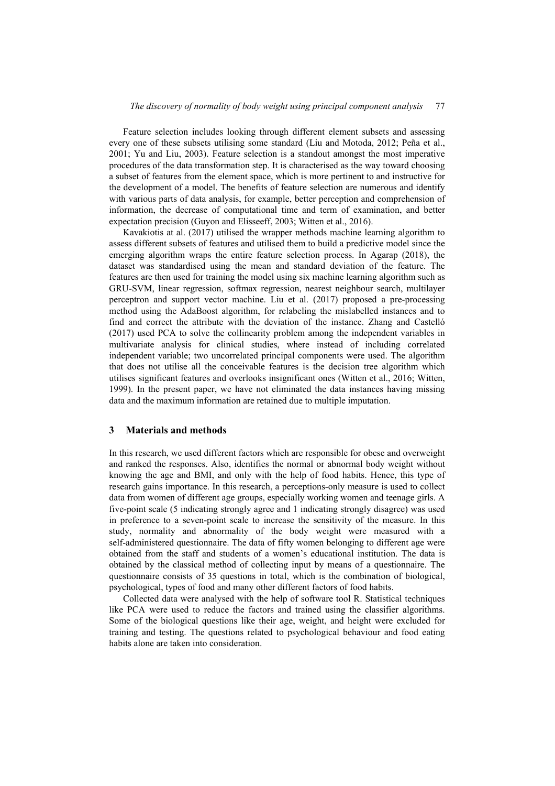Feature selection includes looking through different element subsets and assessing every one of these subsets utilising some standard (Liu and Motoda, 2012; Peña et al., 2001; Yu and Liu, 2003). Feature selection is a standout amongst the most imperative procedures of the data transformation step. It is characterised as the way toward choosing a subset of features from the element space, which is more pertinent to and instructive for the development of a model. The benefits of feature selection are numerous and identify with various parts of data analysis, for example, better perception and comprehension of information, the decrease of computational time and term of examination, and better expectation precision (Guyon and Elisseeff, 2003; Witten et al., 2016).

Kavakiotis at al. (2017) utilised the wrapper methods machine learning algorithm to assess different subsets of features and utilised them to build a predictive model since the emerging algorithm wraps the entire feature selection process. In Agarap (2018), the dataset was standardised using the mean and standard deviation of the feature. The features are then used for training the model using six machine learning algorithm such as GRU-SVM, linear regression, softmax regression, nearest neighbour search, multilayer perceptron and support vector machine. Liu et al. (2017) proposed a pre-processing method using the AdaBoost algorithm, for relabeling the mislabelled instances and to find and correct the attribute with the deviation of the instance. Zhang and Castelló (2017) used PCA to solve the collinearity problem among the independent variables in multivariate analysis for clinical studies, where instead of including correlated independent variable; two uncorrelated principal components were used. The algorithm that does not utilise all the conceivable features is the decision tree algorithm which utilises significant features and overlooks insignificant ones (Witten et al., 2016; Witten, 1999). In the present paper, we have not eliminated the data instances having missing data and the maximum information are retained due to multiple imputation.

#### **3 Materials and methods**

In this research, we used different factors which are responsible for obese and overweight and ranked the responses. Also, identifies the normal or abnormal body weight without knowing the age and BMI, and only with the help of food habits. Hence, this type of research gains importance. In this research, a perceptions-only measure is used to collect data from women of different age groups, especially working women and teenage girls. A five-point scale (5 indicating strongly agree and 1 indicating strongly disagree) was used in preference to a seven-point scale to increase the sensitivity of the measure. In this study, normality and abnormality of the body weight were measured with a self-administered questionnaire. The data of fifty women belonging to different age were obtained from the staff and students of a women's educational institution. The data is obtained by the classical method of collecting input by means of a questionnaire. The questionnaire consists of 35 questions in total, which is the combination of biological, psychological, types of food and many other different factors of food habits.

Collected data were analysed with the help of software tool R. Statistical techniques like PCA were used to reduce the factors and trained using the classifier algorithms. Some of the biological questions like their age, weight, and height were excluded for training and testing. The questions related to psychological behaviour and food eating habits alone are taken into consideration.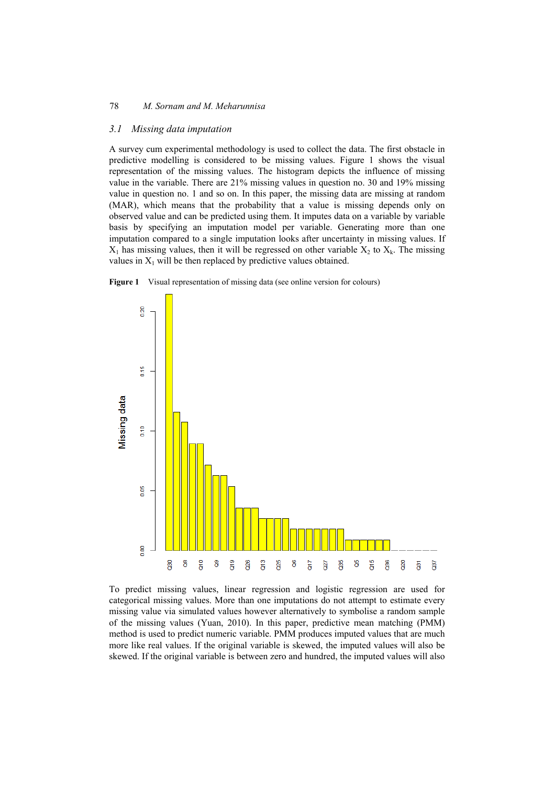#### *3.1 Missing data imputation*

A survey cum experimental methodology is used to collect the data. The first obstacle in predictive modelling is considered to be missing values. Figure 1 shows the visual representation of the missing values. The histogram depicts the influence of missing value in the variable. There are 21% missing values in question no. 30 and 19% missing value in question no. 1 and so on. In this paper, the missing data are missing at random (MAR), which means that the probability that a value is missing depends only on observed value and can be predicted using them. It imputes data on a variable by variable basis by specifying an imputation model per variable. Generating more than one imputation compared to a single imputation looks after uncertainty in missing values. If  $X_1$  has missing values, then it will be regressed on other variable  $X_2$  to  $X_k$ . The missing values in  $X_1$  will be then replaced by predictive values obtained.





To predict missing values, linear regression and logistic regression are used for categorical missing values. More than one imputations do not attempt to estimate every missing value via simulated values however alternatively to symbolise a random sample of the missing values (Yuan, 2010). In this paper, predictive mean matching (PMM) method is used to predict numeric variable. PMM produces imputed values that are much more like real values. If the original variable is skewed, the imputed values will also be skewed. If the original variable is between zero and hundred, the imputed values will also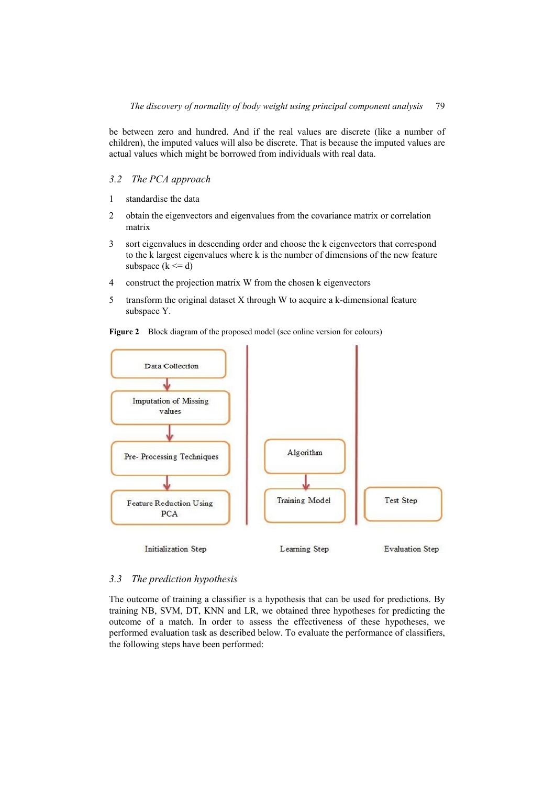be between zero and hundred. And if the real values are discrete (like a number of children), the imputed values will also be discrete. That is because the imputed values are actual values which might be borrowed from individuals with real data.

# *3.2 The PCA approach*

- 1 standardise the data
- 2 obtain the eigenvectors and eigenvalues from the covariance matrix or correlation matrix
- 3 sort eigenvalues in descending order and choose the k eigenvectors that correspond to the k largest eigenvalues where k is the number of dimensions of the new feature subspace  $(k \le d)$
- 4 construct the projection matrix W from the chosen k eigenvectors
- 5 transform the original dataset X through W to acquire a k-dimensional feature subspace Y.





#### *3.3 The prediction hypothesis*

The outcome of training a classifier is a hypothesis that can be used for predictions. By training NB, SVM, DT, KNN and LR, we obtained three hypotheses for predicting the outcome of a match. In order to assess the effectiveness of these hypotheses, we performed evaluation task as described below. To evaluate the performance of classifiers, the following steps have been performed: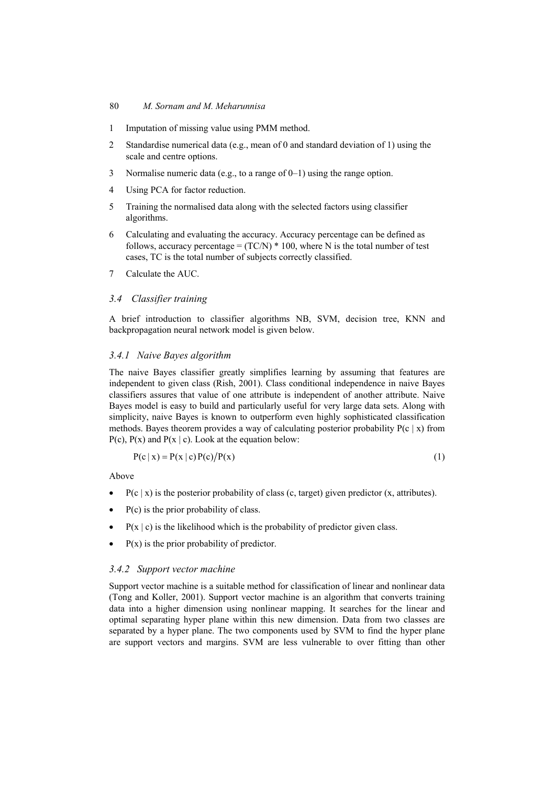- 1 Imputation of missing value using PMM method.
- 2 Standardise numerical data (e.g., mean of 0 and standard deviation of 1) using the scale and centre options.
- 3 Normalise numeric data (e.g., to a range of 0–1) using the range option.
- 4 Using PCA for factor reduction.
- 5 Training the normalised data along with the selected factors using classifier algorithms.
- 6 Calculating and evaluating the accuracy. Accuracy percentage can be defined as follows, accuracy percentage =  $(TCN)*100$ , where N is the total number of test cases, TC is the total number of subjects correctly classified.
- 7 Calculate the AUC.

#### *3.4 Classifier training*

A brief introduction to classifier algorithms NB, SVM, decision tree, KNN and backpropagation neural network model is given below.

#### *3.4.1 Naive Bayes algorithm*

The naive Bayes classifier greatly simplifies learning by assuming that features are independent to given class (Rish, 2001). Class conditional independence in naive Bayes classifiers assures that value of one attribute is independent of another attribute. Naive Bayes model is easy to build and particularly useful for very large data sets. Along with simplicity, naive Bayes is known to outperform even highly sophisticated classification methods. Bayes theorem provides a way of calculating posterior probability  $P(c | x)$  from  $P(c)$ ,  $P(x)$  and  $P(x | c)$ . Look at the equation below:

$$
P(c | x) = P(x | c)P(c)/P(x)
$$
\n(1)

Above

- $P(c | x)$  is the posterior probability of class (c, target) given predictor (x, attributes).
- P(c) is the prior probability of class.
- $P(x \mid c)$  is the likelihood which is the probability of predictor given class.
- $P(x)$  is the prior probability of predictor.

#### *3.4.2 Support vector machine*

Support vector machine is a suitable method for classification of linear and nonlinear data (Tong and Koller, 2001). Support vector machine is an algorithm that converts training data into a higher dimension using nonlinear mapping. It searches for the linear and optimal separating hyper plane within this new dimension. Data from two classes are separated by a hyper plane. The two components used by SVM to find the hyper plane are support vectors and margins. SVM are less vulnerable to over fitting than other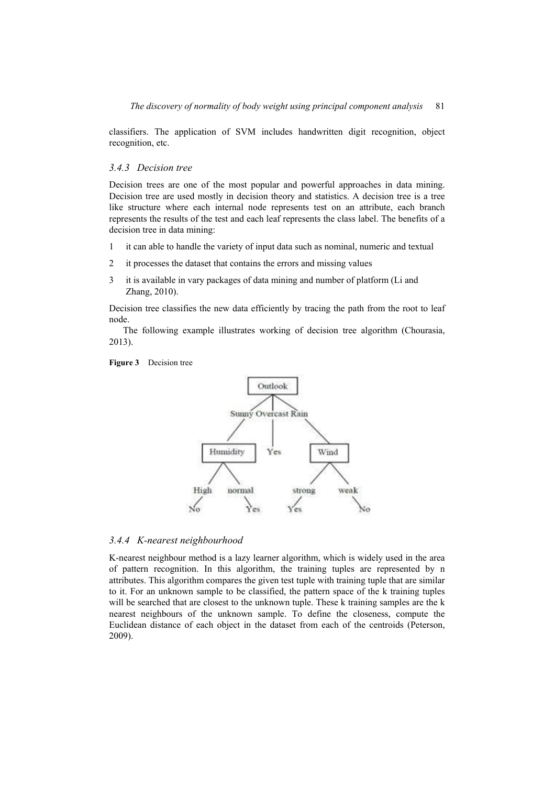classifiers. The application of SVM includes handwritten digit recognition, object recognition, etc.

#### *3.4.3 Decision tree*

Decision trees are one of the most popular and powerful approaches in data mining. Decision tree are used mostly in decision theory and statistics. A decision tree is a tree like structure where each internal node represents test on an attribute, each branch represents the results of the test and each leaf represents the class label. The benefits of a decision tree in data mining:

- 1 it can able to handle the variety of input data such as nominal, numeric and textual
- 2 it processes the dataset that contains the errors and missing values
- 3 it is available in vary packages of data mining and number of platform (Li and Zhang, 2010).

Decision tree classifies the new data efficiently by tracing the path from the root to leaf node.

The following example illustrates working of decision tree algorithm (Chourasia, 2013).





#### *3.4.4 K-nearest neighbourhood*

K-nearest neighbour method is a lazy learner algorithm, which is widely used in the area of pattern recognition. In this algorithm, the training tuples are represented by n attributes. This algorithm compares the given test tuple with training tuple that are similar to it. For an unknown sample to be classified, the pattern space of the k training tuples will be searched that are closest to the unknown tuple. These k training samples are the k nearest neighbours of the unknown sample. To define the closeness, compute the Euclidean distance of each object in the dataset from each of the centroids (Peterson, 2009).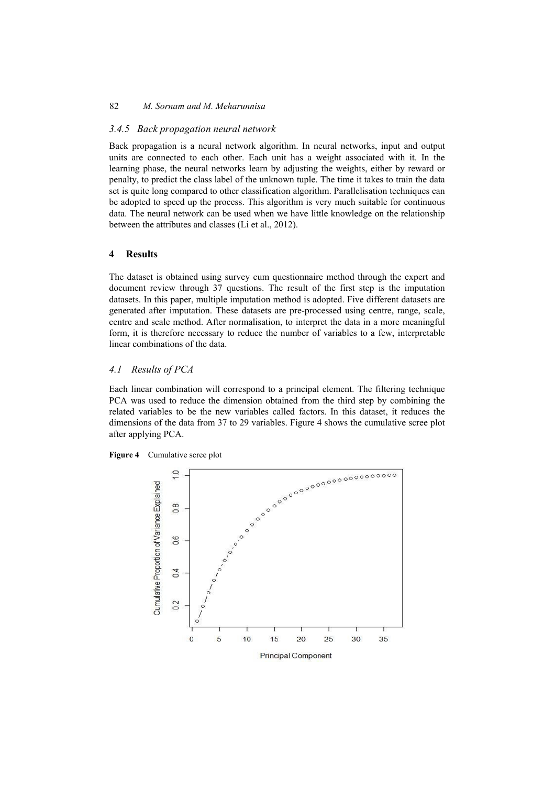#### *3.4.5 Back propagation neural network*

Back propagation is a neural network algorithm. In neural networks, input and output units are connected to each other. Each unit has a weight associated with it. In the learning phase, the neural networks learn by adjusting the weights, either by reward or penalty, to predict the class label of the unknown tuple. The time it takes to train the data set is quite long compared to other classification algorithm. Parallelisation techniques can be adopted to speed up the process. This algorithm is very much suitable for continuous data. The neural network can be used when we have little knowledge on the relationship between the attributes and classes (Li et al., 2012).

#### **4 Results**

The dataset is obtained using survey cum questionnaire method through the expert and document review through 37 questions. The result of the first step is the imputation datasets. In this paper, multiple imputation method is adopted. Five different datasets are generated after imputation. These datasets are pre-processed using centre, range, scale, centre and scale method. After normalisation, to interpret the data in a more meaningful form, it is therefore necessary to reduce the number of variables to a few, interpretable linear combinations of the data.

#### *4.1 Results of PCA*

Each linear combination will correspond to a principal element. The filtering technique PCA was used to reduce the dimension obtained from the third step by combining the related variables to be the new variables called factors. In this dataset, it reduces the dimensions of the data from 37 to 29 variables. Figure 4 shows the cumulative scree plot after applying PCA.



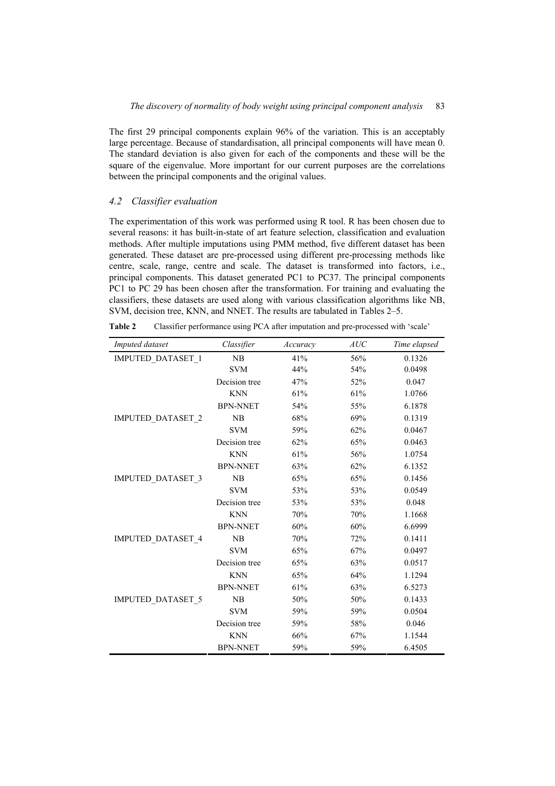The first 29 principal components explain 96% of the variation. This is an acceptably large percentage. Because of standardisation, all principal components will have mean 0. The standard deviation is also given for each of the components and these will be the square of the eigenvalue. More important for our current purposes are the correlations between the principal components and the original values.

# *4.2 Classifier evaluation*

The experimentation of this work was performed using R tool. R has been chosen due to several reasons: it has built-in-state of art feature selection, classification and evaluation methods. After multiple imputations using PMM method, five different dataset has been generated. These dataset are pre-processed using different pre-processing methods like centre, scale, range, centre and scale. The dataset is transformed into factors, i.e., principal components. This dataset generated PC1 to PC37. The principal components PC1 to PC 29 has been chosen after the transformation. For training and evaluating the classifiers, these datasets are used along with various classification algorithms like NB, SVM, decision tree, KNN, and NNET. The results are tabulated in Tables 2–5.

| Table 2 |  |  |  | Classifier performance using PCA after imputation and pre-processed with 'scale' |
|---------|--|--|--|----------------------------------------------------------------------------------|
|---------|--|--|--|----------------------------------------------------------------------------------|

| Imputed dataset   | Classifier      | Accuracy | AUC | Time elapsed |
|-------------------|-----------------|----------|-----|--------------|
| IMPUTED_DATASET_1 | NB              | 41%      | 56% | 0.1326       |
|                   | <b>SVM</b>      | 44%      | 54% | 0.0498       |
|                   | Decision tree   | 47%      | 52% | 0.047        |
|                   | <b>KNN</b>      | 61%      | 61% | 1.0766       |
|                   | <b>BPN-NNET</b> | 54%      | 55% | 6.1878       |
| IMPUTED_DATASET_2 | NB              | 68%      | 69% | 0.1319       |
|                   | <b>SVM</b>      | 59%      | 62% | 0.0467       |
|                   | Decision tree   | 62%      | 65% | 0.0463       |
|                   | <b>KNN</b>      | 61%      | 56% | 1.0754       |
|                   | <b>BPN-NNET</b> | 63%      | 62% | 6.1352       |
| IMPUTED_DATASET_3 | NB              | 65%      | 65% | 0.1456       |
|                   | <b>SVM</b>      | 53%      | 53% | 0.0549       |
|                   | Decision tree   | 53%      | 53% | 0.048        |
|                   | <b>KNN</b>      | 70%      | 70% | 1.1668       |
|                   | <b>BPN-NNET</b> | 60%      | 60% | 6.6999       |
| IMPUTED_DATASET 4 | NB              | 70%      | 72% | 0.1411       |
|                   | <b>SVM</b>      | 65%      | 67% | 0.0497       |
|                   | Decision tree   | 65%      | 63% | 0.0517       |
|                   | <b>KNN</b>      | 65%      | 64% | 1.1294       |
|                   | <b>BPN-NNET</b> | 61%      | 63% | 6.5273       |
| IMPUTED_DATASET_5 | NB              | 50%      | 50% | 0.1433       |
|                   | <b>SVM</b>      | 59%      | 59% | 0.0504       |
|                   | Decision tree   | 59%      | 58% | 0.046        |
|                   | <b>KNN</b>      | 66%      | 67% | 1.1544       |
|                   | <b>BPN-NNET</b> | 59%      | 59% | 6.4505       |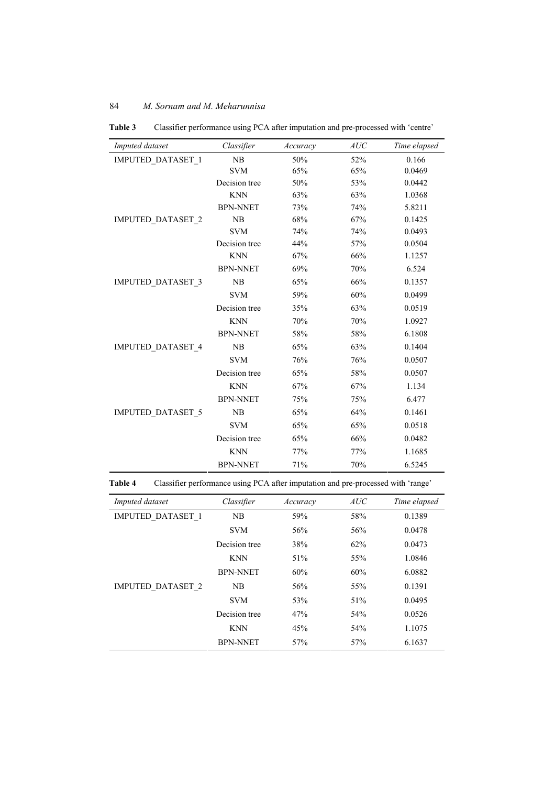| Imputed dataset          | Classifier      | Accuracy | AUC | Time elapsed |
|--------------------------|-----------------|----------|-----|--------------|
| <b>IMPUTED DATASET 1</b> | NB              | 50%      | 52% | 0.166        |
|                          | <b>SVM</b>      | 65%      | 65% | 0.0469       |
|                          | Decision tree   | 50%      | 53% | 0.0442       |
|                          | <b>KNN</b>      | 63%      | 63% | 1.0368       |
|                          | <b>BPN-NNET</b> | 73%      | 74% | 5.8211       |
| <b>IMPUTED DATASET 2</b> | NB              | 68%      | 67% | 0.1425       |
|                          | <b>SVM</b>      | 74%      | 74% | 0.0493       |
|                          | Decision tree   | 44%      | 57% | 0.0504       |
|                          | <b>KNN</b>      | 67%      | 66% | 1.1257       |
|                          | <b>BPN-NNET</b> | 69%      | 70% | 6.524        |
| <b>IMPUTED DATASET 3</b> | NB              | 65%      | 66% | 0.1357       |
|                          | <b>SVM</b>      | 59%      | 60% | 0.0499       |
|                          | Decision tree   | 35%      | 63% | 0.0519       |
|                          | <b>KNN</b>      | 70%      | 70% | 1.0927       |
|                          | <b>BPN-NNET</b> | 58%      | 58% | 6.1808       |
| <b>IMPUTED DATASET 4</b> | NB              | 65%      | 63% | 0.1404       |
|                          | <b>SVM</b>      | 76%      | 76% | 0.0507       |
|                          | Decision tree   | 65%      | 58% | 0.0507       |
|                          | <b>KNN</b>      | 67%      | 67% | 1.134        |
|                          | <b>BPN-NNET</b> | 75%      | 75% | 6.477        |
| <b>IMPUTED DATASET 5</b> | NB              | 65%      | 64% | 0.1461       |
|                          | <b>SVM</b>      | 65%      | 65% | 0.0518       |
|                          | Decision tree   | 65%      | 66% | 0.0482       |
|                          | <b>KNN</b>      | 77%      | 77% | 1.1685       |
|                          | <b>BPN-NNET</b> | 71%      | 70% | 6.5245       |

**Table 3** Classifier performance using PCA after imputation and pre-processed with 'centre'

**Table 4** Classifier performance using PCA after imputation and pre-processed with 'range'

| Imputed dataset          | Classifier      | Accuracy | AUC | Time elapsed |
|--------------------------|-----------------|----------|-----|--------------|
| <b>IMPUTED DATASET 1</b> | NB              | 59%      | 58% | 0.1389       |
|                          | <b>SVM</b>      | 56%      | 56% | 0.0478       |
|                          | Decision tree   | 38%      | 62% | 0.0473       |
|                          | <b>KNN</b>      | 51%      | 55% | 1.0846       |
|                          | <b>BPN-NNET</b> | 60%      | 60% | 6.0882       |
| <b>IMPUTED DATASET 2</b> | NB              | 56%      | 55% | 0.1391       |
|                          | <b>SVM</b>      | 53%      | 51% | 0.0495       |
|                          | Decision tree   | 47%      | 54% | 0.0526       |
|                          | <b>KNN</b>      | 45%      | 54% | 1.1075       |
|                          | <b>BPN-NNET</b> | 57%      | 57% | 6.1637       |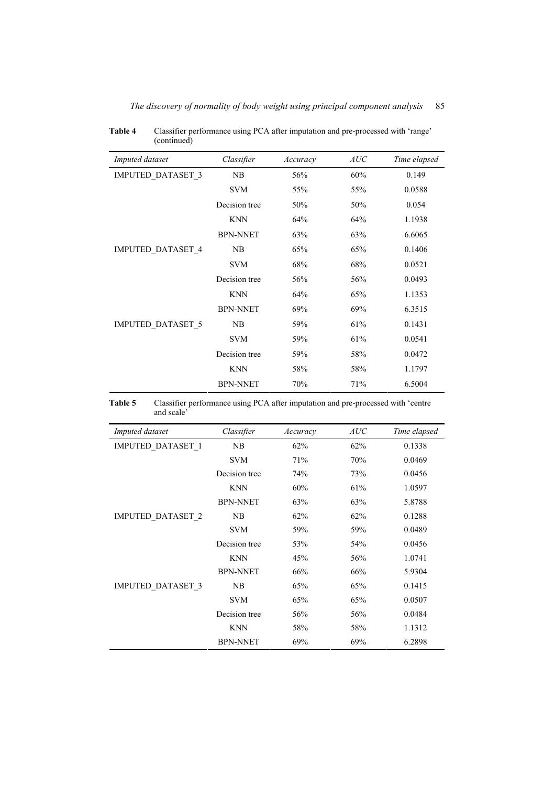| Imputed dataset          | Classifier      | Accuracy | AUC | Time elapsed |
|--------------------------|-----------------|----------|-----|--------------|
| <b>IMPUTED DATASET 3</b> | NB              | 56%      | 60% | 0.149        |
|                          | <b>SVM</b>      | 55%      | 55% | 0.0588       |
|                          | Decision tree   | 50%      | 50% | 0.054        |
|                          | <b>KNN</b>      | 64%      | 64% | 1.1938       |
|                          | <b>BPN-NNET</b> | 63%      | 63% | 6.6065       |
| <b>IMPUTED DATASET 4</b> | NB              | 65%      | 65% | 0.1406       |
|                          | <b>SVM</b>      | 68%      | 68% | 0.0521       |
|                          | Decision tree   | 56%      | 56% | 0.0493       |
|                          | <b>KNN</b>      | 64%      | 65% | 1.1353       |
|                          | <b>BPN-NNET</b> | 69%      | 69% | 6.3515       |
| <b>IMPUTED DATASET 5</b> | NB              | 59%      | 61% | 0.1431       |
|                          | <b>SVM</b>      | 59%      | 61% | 0.0541       |
|                          | Decision tree   | 59%      | 58% | 0.0472       |
|                          | <b>KNN</b>      | 58%      | 58% | 1.1797       |
|                          | <b>BPN-NNET</b> | 70%      | 71% | 6.5004       |

**Table 4** Classifier performance using PCA after imputation and pre-processed with 'range' (continued)

| <b>Table 5</b> | Classifier performance using PCA after imputation and pre-processed with 'centre |
|----------------|----------------------------------------------------------------------------------|
|                | and scale <sup>?</sup>                                                           |

| Imputed dataset          | Classifier      | Accuracy | AUC | Time elapsed |
|--------------------------|-----------------|----------|-----|--------------|
| <b>IMPUTED DATASET 1</b> | NB              | 62%      | 62% | 0.1338       |
|                          | <b>SVM</b>      | 71%      | 70% | 0.0469       |
|                          | Decision tree   | 74%      | 73% | 0.0456       |
|                          | <b>KNN</b>      | 60%      | 61% | 1.0597       |
|                          | <b>BPN-NNET</b> | 63%      | 63% | 5.8788       |
| <b>IMPUTED DATASET 2</b> | NB              | 62%      | 62% | 0.1288       |
|                          | <b>SVM</b>      | 59%      | 59% | 0.0489       |
|                          | Decision tree   | 53%      | 54% | 0.0456       |
|                          | <b>KNN</b>      | 45%      | 56% | 1.0741       |
|                          | <b>BPN-NNET</b> | 66%      | 66% | 5.9304       |
| <b>IMPUTED DATASET 3</b> | NB              | 65%      | 65% | 0.1415       |
|                          | <b>SVM</b>      | 65%      | 65% | 0.0507       |
|                          | Decision tree   | 56%      | 56% | 0.0484       |
|                          | <b>KNN</b>      | 58%      | 58% | 1.1312       |
|                          | <b>BPN-NNET</b> | 69%      | 69% | 6.2898       |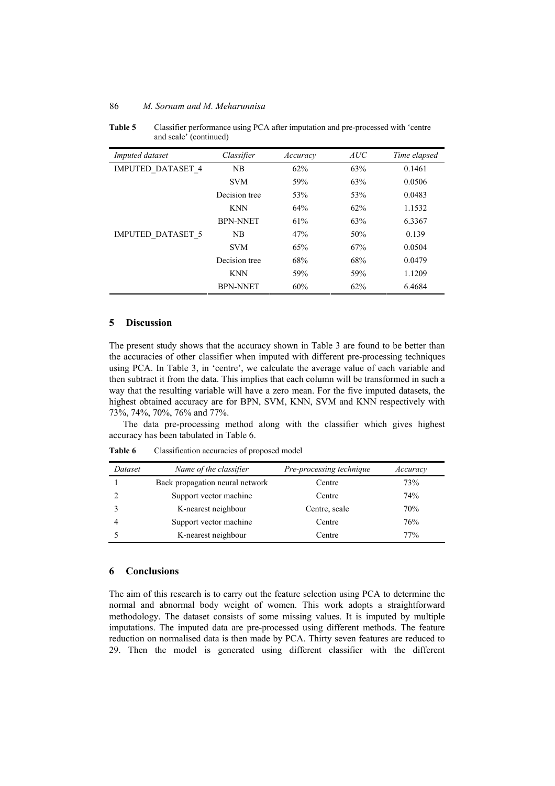**Table 5** Classifier performance using PCA after imputation and pre-processed with 'centre and scale' (continued)

| Imputed dataset          | Classifier      | Accuracy | AUC | Time elapsed |
|--------------------------|-----------------|----------|-----|--------------|
| <b>IMPUTED DATASET 4</b> | NB              | 62%      | 63% | 0.1461       |
|                          | <b>SVM</b>      | 59%      | 63% | 0.0506       |
|                          | Decision tree   | 53%      | 53% | 0.0483       |
|                          | <b>KNN</b>      | 64%      | 62% | 1.1532       |
|                          | <b>BPN-NNET</b> | 61%      | 63% | 6.3367       |
| <b>IMPUTED DATASET 5</b> | NB              | 47%      | 50% | 0.139        |
|                          | <b>SVM</b>      | 65%      | 67% | 0.0504       |
|                          | Decision tree   | 68%      | 68% | 0.0479       |
|                          | <b>KNN</b>      | 59%      | 59% | 1.1209       |
|                          | <b>BPN-NNET</b> | 60%      | 62% | 6.4684       |

# **5 Discussion**

The present study shows that the accuracy shown in Table 3 are found to be better than the accuracies of other classifier when imputed with different pre-processing techniques using PCA. In Table 3, in 'centre', we calculate the average value of each variable and then subtract it from the data. This implies that each column will be transformed in such a way that the resulting variable will have a zero mean. For the five imputed datasets, the highest obtained accuracy are for BPN, SVM, KNN, SVM and KNN respectively with 73%, 74%, 70%, 76% and 77%.

The data pre-processing method along with the classifier which gives highest accuracy has been tabulated in Table 6.

**Table 6** Classification accuracies of proposed model

| Dataset | Name of the classifier          | Pre-processing technique | Accuracy |
|---------|---------------------------------|--------------------------|----------|
|         | Back propagation neural network | Centre                   | 73%      |
|         | Support vector machine          | Centre                   | 74%      |
|         | K-nearest neighbour             | Centre, scale            | 70%      |
|         | Support vector machine          | Centre                   | 76%      |
|         | K-nearest neighbour             | Centre                   | 77%      |

#### **6 Conclusions**

The aim of this research is to carry out the feature selection using PCA to determine the normal and abnormal body weight of women. This work adopts a straightforward methodology. The dataset consists of some missing values. It is imputed by multiple imputations. The imputed data are pre-processed using different methods. The feature reduction on normalised data is then made by PCA. Thirty seven features are reduced to 29. Then the model is generated using different classifier with the different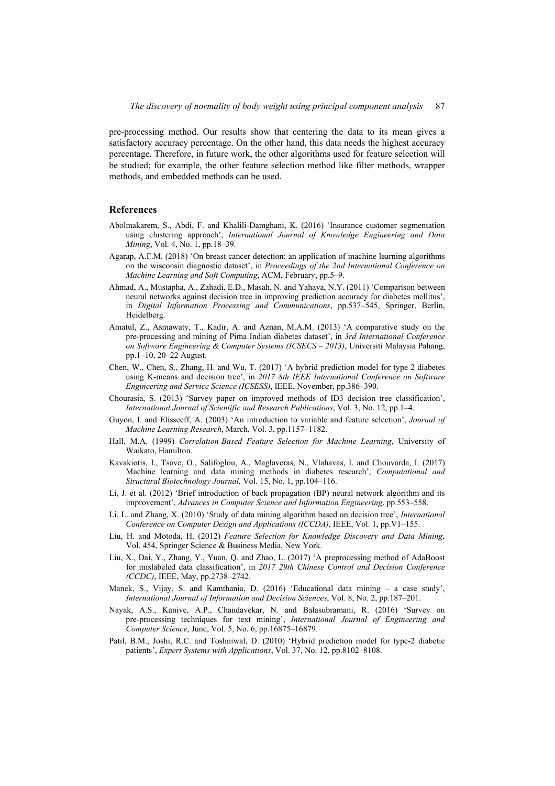pre-processing method. Our results show that centering the data to its mean gives a satisfactory accuracy percentage. On the other hand, this data needs the highest accuracy percentage. Therefore, in future work, the other algorithms used for feature selection will be studied; for example, the other feature selection method like filter methods, wrapper methods, and embedded methods can be used.

#### **References**

- Abolmakarem, S., Abdi, F. and Khalili-Damghani, K. (2016) 'Insurance customer segmentation using clustering approach', *International Journal of Knowledge Engineering and Data Mining*, Vol. 4, No. 1, pp.18–39.
- Agarap, A.F.M. (2018) 'On breast cancer detection: an application of machine learning algorithms on the wisconsin diagnostic dataset', in *Proceedings of the 2nd International Conference on Machine Learning and Soft Computing*, ACM, February, pp.5–9.
- Ahmad, A., Mustapha, A., Zahadi, E.D., Masah, N. and Yahaya, N.Y. (2011) 'Comparison between neural networks against decision tree in improving prediction accuracy for diabetes mellitus', in *Digital Information Processing and Communications*, pp.537–545, Springer, Berlin, Heidelberg.
- Amatul, Z., Asmawaty, T., Kadir, A. and Aznan, M.A.M. (2013) 'A comparative study on the pre-processing and mining of Pima Indian diabetes dataset', in *3rd International Conference on Software Engineering & Computer Systems (ICSECS – 2013)*, Universiti Malaysia Pahang, pp.1–10, 20–22 August.
- Chen, W., Chen, S., Zhang, H. and Wu, T. (2017) 'A hybrid prediction model for type 2 diabetes using K-means and decision tree', in *2017 8th IEEE International Conference on Software Engineering and Service Science (ICSESS)*, IEEE, November, pp.386–390.
- Chourasia, S. (2013) 'Survey paper on improved methods of ID3 decision tree classification', *International Journal of Scientific and Research Publications*, Vol. 3, No. 12, pp.1–4.
- Guyon, I. and Elisseeff, A. (2003) 'An introduction to variable and feature selection', *Journal of Machine Learning Research*, March, Vol. 3, pp.1157–1182.
- Hall, M.A. (1999) *Correlation-Based Feature Selection for Machine Learning*, University of Waikato, Hamilton.
- Kavakiotis, I., Tsave, O., Salifoglou, A., Maglaveras, N., Vlahavas, I. and Chouvarda, I. (2017) Machine learning and data mining methods in diabetes research', *Computational and Structural Biotechnology Journal*, Vol. 15, No. 1, pp.104–116.
- Li, J. et al. (2012) 'Brief introduction of back propagation (BP) neural network algorithm and its improvement', *Advances in Computer Science and Information Engineering*, pp.553–558.
- Li, L. and Zhang, X. (2010) 'Study of data mining algorithm based on decision tree', *International Conference on Computer Design and Applications (ICCDA)*, IEEE, Vol. 1, pp.V1–155.
- Liu, H. and Motoda, H. (2012) *Feature Selection for Knowledge Discovery and Data Mining*, Vol. 454, Springer Science & Business Media, New York.
- Liu, X., Dai, Y., Zhang, Y., Yuan, Q. and Zhao, L. (2017) 'A preprocessing method of AdaBoost for mislabeled data classification', in *2017 29th Chinese Control and Decision Conference (CCDC)*, IEEE, May, pp.2738–2742.
- Manek, S., Vijay, S. and Kamthania, D. (2016) 'Educational data mining a case study', *International Journal of Information and Decision Sciences*, Vol. 8, No. 2, pp.187–201.
- Nayak, A.S., Kanive, A.P., Chandavekar, N. and Balasubramani, R. (2016) 'Survey on pre-processing techniques for text mining', *International Journal of Engineering and Computer Science*, June, Vol. 5, No. 6, pp.16875–16879.
- Patil, B.M., Joshi, R.C. and Toshniwal, D. (2010) 'Hybrid prediction model for type-2 diabetic patients', *Expert Systems with Applications*, Vol. 37, No. 12, pp.8102–8108.